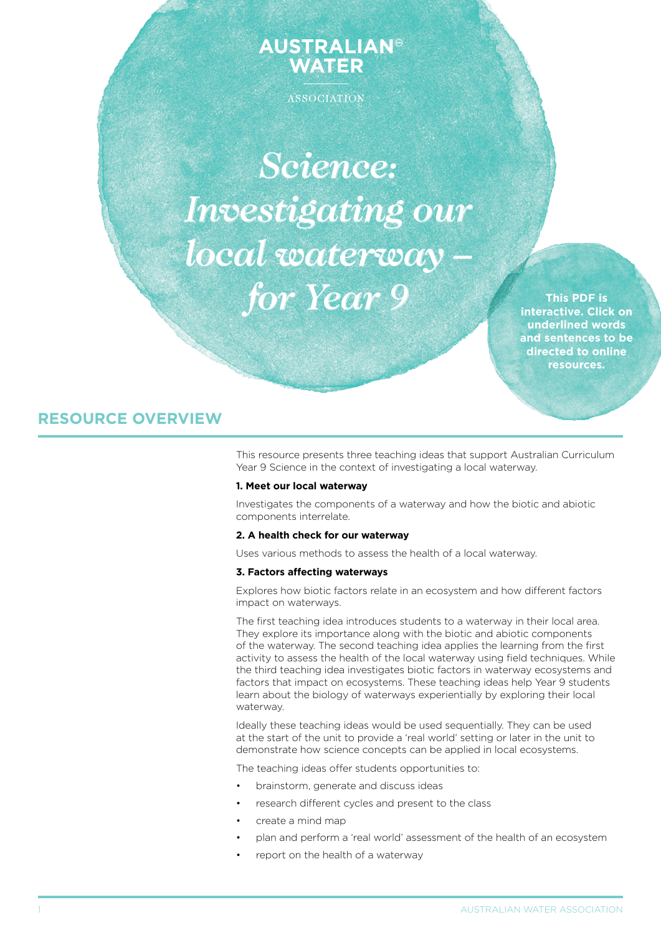# **AUSTRALIAN® WATER**

ASSOCIATION

*Science: Investigating our local waterway – for Year 9*

**This PDF is interactive. Click on underlined words and sentences to be directed to online resources.**

# **RESOURCE OVERVIEW**

This resource presents three teaching ideas that support Australian Curriculum Year 9 Science in the context of investigating a local waterway.

# **1. Meet our local waterway**

Investigates the components of a waterway and how the biotic and abiotic components interrelate.

# **2. A health check for our waterway**

Uses various methods to assess the health of a local waterway.

# **3. Factors affecting waterways**

Explores how biotic factors relate in an ecosystem and how different factors impact on waterways.

The first teaching idea introduces students to a waterway in their local area. They explore its importance along with the biotic and abiotic components of the waterway. The second teaching idea applies the learning from the first activity to assess the health of the local waterway using field techniques. While the third teaching idea investigates biotic factors in waterway ecosystems and factors that impact on ecosystems. These teaching ideas help Year 9 students learn about the biology of waterways experientially by exploring their local waterway.

Ideally these teaching ideas would be used sequentially. They can be used at the start of the unit to provide a 'real world' setting or later in the unit to demonstrate how science concepts can be applied in local ecosystems.

The teaching ideas offer students opportunities to:

- brainstorm, generate and discuss ideas
- research different cycles and present to the class
- create a mind map
- plan and perform a 'real world' assessment of the health of an ecosystem
- report on the health of a waterway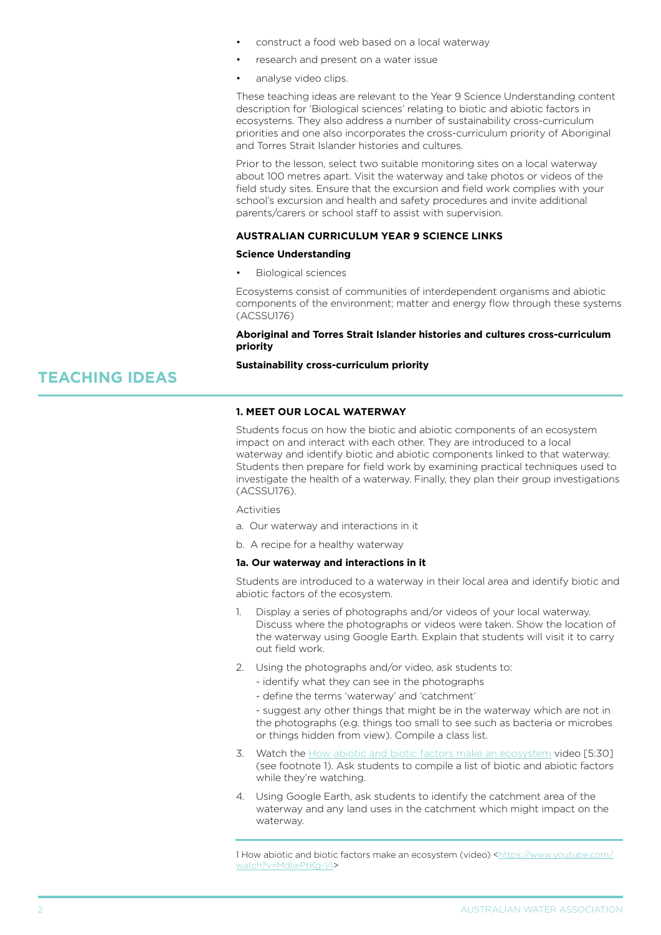- construct a food web based on a local waterway
- research and present on a water issue
- analyse video clips.

These teaching ideas are relevant to the Year 9 Science Understanding content description for 'Biological sciences' relating to biotic and abiotic factors in ecosystems. They also address a number of sustainability cross-curriculum priorities and one also incorporates the cross-curriculum priority of Aboriginal and Torres Strait Islander histories and cultures.

Prior to the lesson, select two suitable monitoring sites on a local waterway about 100 metres apart. Visit the waterway and take photos or videos of the field study sites. Ensure that the excursion and field work complies with your school's excursion and health and safety procedures and invite additional parents/carers or school staff to assist with supervision.

## **AUStralian curriculum year 9 science links**

#### **Science Understanding**

**Biological sciences** 

Ecosystems consist of communities of interdependent organisms and abiotic components of the environment; matter and energy flow through these systems (ACSSU176)

**Aboriginal and Torres Strait Islander histories and cultures cross-curriculum priority** 

#### **Sustainability cross-curriculum priority**

## **1. Meet our local waterway**

Students focus on how the biotic and abiotic components of an ecosystem impact on and interact with each other. They are introduced to a local waterway and identify biotic and abiotic components linked to that waterway. Students then prepare for field work by examining practical techniques used to investigate the health of a waterway. Finally, they plan their group investigations (ACSSU176).

**Activities** 

- a. Our waterway and interactions in it
- b. A recipe for a healthy waterway

#### **1a. Our waterway and interactions in it**

Students are introduced to a waterway in their local area and identify biotic and abiotic factors of the ecosystem.

- 1. Display a series of photographs and/or videos of your local waterway. Discuss where the photographs or videos were taken. Show the location of the waterway using Google Earth. Explain that students will visit it to carry out field work.
- 2. Using the photographs and/or video, ask students to:
	- identify what they can see in the photographs
	- define the terms 'waterway' and 'catchment'

- suggest any other things that might be in the waterway which are not in the photographs (e.g. things too small to see such as bacteria or microbes or things hidden from view). Compile a class list.

- 3. Watch the [How abiotic and biotic factors make an ecosystem](https://www.youtube.com/watch?v=MdlwPtKg-VI) video [5:30] (see footnote 1). Ask students to compile a list of biotic and abiotic factors while they're watching.
- 4. Using Google Earth, ask students to identify the catchment area of the waterway and any land uses in the catchment which might impact on the waterway.

1 How abiotic and biotic factors make an ecosystem (video) [<https://www.youtube.com/](https://www.youtube.com/watch?v=MdlwPtKg-VI) [watch?v=MdlwPtKg-VI](https://www.youtube.com/watch?v=MdlwPtKg-VI)>

#### **AUSTRALIAN WATER ASSOCIATION**

**TEACHING IDEAS**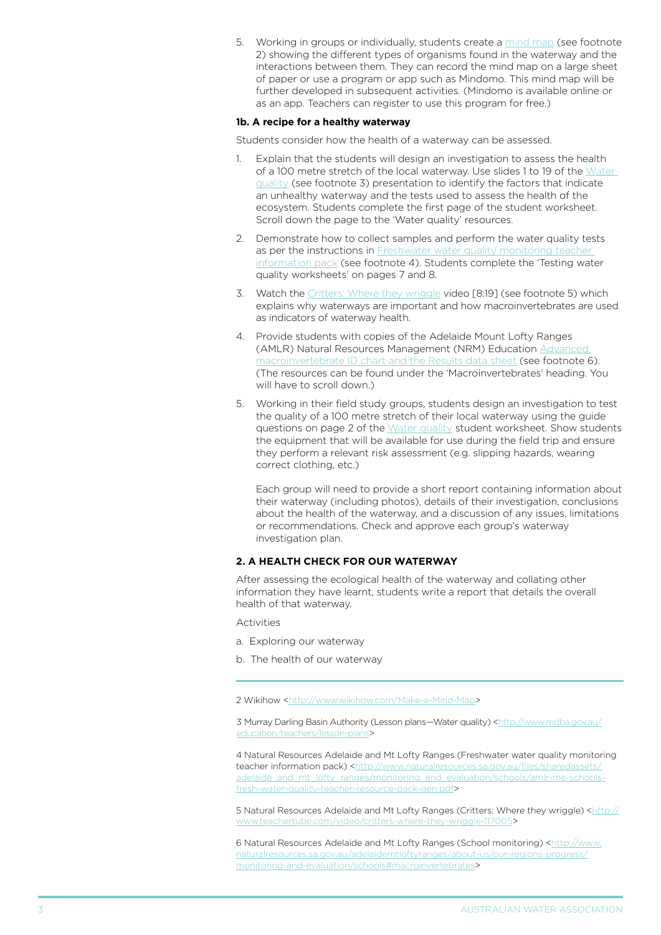5. Working in groups or individually, students create a [mind map](http://www.wikihow.com/Make-a-Mind-Map) (see footnote 2) showing the different types of organisms found in the waterway and the interactions between them. They can record the mind map on a large sheet of paper or use a program or app such as Mindomo. This mind map will be further developed in subsequent activities. (Mindomo is available online or as an app. Teachers can register to use this program for free.)

#### **1b. A recipe for a healthy waterway**

Students consider how the health of a waterway can be assessed.

- 1. Explain that the students will design an investigation to assess the health of a 100 metre stretch of the local waterway. Use slides 1 to 19 of the [Water](http://www.mdba.gov.au/education/teachers/lesson-plans)  [quality](http://www.mdba.gov.au/education/teachers/lesson-plans) (see footnote 3) presentation to identify the factors that indicate an unhealthy waterway and the tests used to assess the health of the ecosystem. Students complete the first page of the student worksheet. Scroll down the page to the 'Water quality' resources.
- 2. Demonstrate how to collect samples and perform the water quality tests as per the instructions in Freshwater water quality monitoring teacher [information pack](http://www.naturalresources.sa.gov.au/files/sharedassets/adelaide_and_mt_lofty_ranges/monitoring_and_evaluation/schools/amlr-me-schools-fresh-water-quality-teacher-resource-pack-gen.pdf) (see footnote 4). Students complete the 'Testing water quality worksheets' on pages 7 and 8.
- 3. Watch the [Critters: Where they wriggle](http://www.teachertube.com/video/critters-where-they-wriggle-117005) video [8:19] (see footnote 5) which explains why waterways are important and how macroinvertebrates are used as indicators of waterway health.
- 4. Provide students with copies of the Adelaide Mount Lofty Ranges (AMLR) Natural Resources Management (NRM) Education [Advanced](http://www.naturalresources.sa.gov.au/adelaidemtloftyranges/about-us/our-regions-progress/monitoring-and-evaluation/schools#macroinvertebrates)  [macroinvertebrate ID chart and the Results data sheet](http://www.naturalresources.sa.gov.au/adelaidemtloftyranges/about-us/our-regions-progress/monitoring-and-evaluation/schools#macroinvertebrates) (see footnote 6). (The resources can be found under the 'Macroinvertebrates' heading. You will have to scroll down.)
- 5. Working in their field study groups, students design an investigation to test the quality of a 100 metre stretch of their local waterway using the guide questions on page 2 of the [Water quality](http://www.mdba.gov.au/education/teachers/lesson-plans) student worksheet. Show students the equipment that will be available for use during the field trip and ensure they perform a relevant risk assessment (e.g. slipping hazards, wearing correct clothing, etc.)

Each group will need to provide a short report containing information about their waterway (including photos), details of their investigation, conclusions about the health of the waterway, and a discussion of any issues, limitations or recommendations. Check and approve each group's waterway investigation plan.

# **2. a health check for our waterway**

After assessing the ecological health of the waterway and collating other information they have learnt, students write a report that details the overall health of that waterway.

Activities

- a. Exploring our waterway
- b. The health of our waterway

2 Wikihow [<http://www.wikihow.com/Make-a-Mind-Map](http://www.wikihow.com/Make-a-Mind-Map)>

3 Murray Darling Basin Authority (Lesson plans—Water quality) [<http://www.mdba.gov.au/](http://www.mdba.gov.au/education/teachers/lesson-plans) [education/teachers/lesson-plans](http://www.mdba.gov.au/education/teachers/lesson-plans)>

4 Natural Resources Adelaide and Mt Lofty Ranges (Freshwater water quality monitoring teacher information pack) [<http://www.naturalresources.sa.gov.au/files/sharedassets/](http://www.naturalresources.sa.gov.au/files/sharedassets/adelaide_and_mt_lofty_ranges/monitoring_and_evaluation/schools/amlr-me-schools-fresh-water-quality-teacher-resource-pack-gen.pdf) [adelaide\\_and\\_mt\\_lofty\\_ranges/monitoring\\_and\\_evaluation/schools/amlr-me-schools](http://www.naturalresources.sa.gov.au/files/sharedassets/adelaide_and_mt_lofty_ranges/monitoring_and_evaluation/schools/amlr-me-schools-fresh-water-quality-teacher-resource-pack-gen.pdf)[fresh-water-quality-teacher-resource-pack-gen.pdf>](http://www.naturalresources.sa.gov.au/files/sharedassets/adelaide_and_mt_lofty_ranges/monitoring_and_evaluation/schools/amlr-me-schools-fresh-water-quality-teacher-resource-pack-gen.pdf)

5 Natural Resources Adelaide and Mt Lofty Ranges (Critters: Where they wriggle) [<http://](http://www.teachertube.com/video/critters-where-they-wriggle-117005) [www.teachertube.com/video/critters-where-they-wriggle-117005>](http://www.teachertube.com/video/critters-where-they-wriggle-117005)

6 Natural Resources Adelaide and Mt Lofty Ranges (School monitoring) <[http://www.](http://www.naturalresources.sa.gov.au/adelaidemtloftyranges/about-us/our-regions-progress/monitoring-and-evaluation/schools#macroinvertebrates) [naturalresources.sa.gov.au/adelaidemtloftyranges/about-us/our-regions-progress/](http://www.naturalresources.sa.gov.au/adelaidemtloftyranges/about-us/our-regions-progress/monitoring-and-evaluation/schools#macroinvertebrates) [monitoring-and-evaluation/schools#macroinvertebrates>](http://www.naturalresources.sa.gov.au/adelaidemtloftyranges/about-us/our-regions-progress/monitoring-and-evaluation/schools#macroinvertebrates)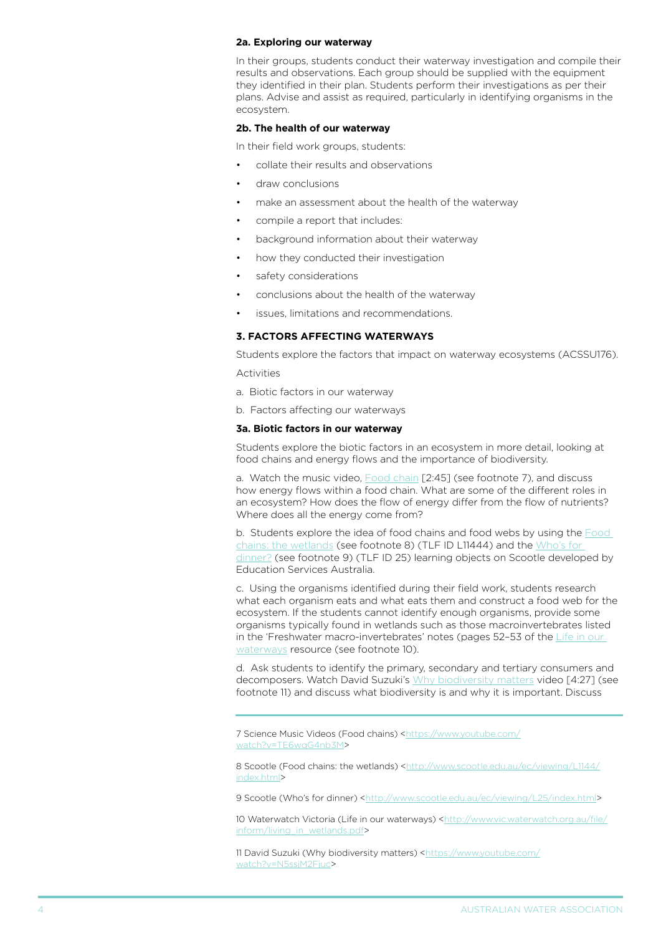#### **2a. Exploring our waterway**

In their groups, students conduct their waterway investigation and compile their results and observations. Each group should be supplied with the equipment they identified in their plan. Students perform their investigations as per their plans. Advise and assist as required, particularly in identifying organisms in the ecosystem.

# **2b. The health of our waterway**

In their field work groups, students:

- collate their results and observations
- draw conclusions
- make an assessment about the health of the waterway
- compile a report that includes:
- background information about their waterway
- how they conducted their investigation
- safety considerations
- conclusions about the health of the waterway
- issues, limitations and recommendations.

# **3. factors affecting waterways**

Students explore the factors that impact on waterway ecosystems (ACSSU176).

Activities

- a. Biotic factors in our waterway
- b. Factors affecting our waterways

#### **3a. Biotic factors in our waterway**

Students explore the biotic factors in an ecosystem in more detail, looking at food chains and energy flows and the importance of biodiversity.

a. Watch the music video, **[Food chain](https://www.youtube.com/watch?v=TE6wqG4nb3M)** [2:45] (see footnote 7), and discuss how energy flows within a food chain. What are some of the different roles in an ecosystem? How does the flow of energy differ from the flow of nutrients? Where does all the energy come from?

b. Students explore the idea of food chains and food webs by using the [Food](http://www.scootle.edu.au/ec/viewing/L1144/index.html)  [chains: the wetlands](http://www.scootle.edu.au/ec/viewing/L1144/index.html) (see footnote 8) (TLF ID L11444) and the [Who's for](http://www.scootle.edu.au/ec/viewing/L25/index.html)  [dinner?](http://www.scootle.edu.au/ec/viewing/L25/index.html) (see footnote 9) (TLF ID 25) learning objects on Scootle developed by Education Services Australia.

c. Using the organisms identified during their field work, students research what each organism eats and what eats them and construct a food web for the ecosystem. If the students cannot identify enough organisms, provide some organisms typically found in wetlands such as those macroinvertebrates listed in the 'Freshwater macro-invertebrates' notes (pages 52-53 of the Life in our [waterways](http://www.vic.waterwatch.org.au/file/inform/living_in_wetlands.pdf) resource (see footnote 10).

d. Ask students to identify the primary, secondary and tertiary consumers and decomposers. Watch David Suzuki's [Why biodiversity matters](https://www.youtube.com/watch?v=N5ssjM2Fjuc) video [4:27] (see footnote 11) and discuss what biodiversity is and why it is important. Discuss

7 Science Music Videos (Food chains) <[https://www.youtube.com/](https://www.youtube.com/watch?v=TE6wqG4nb3M) [watch?v=TE6wqG4nb3M>](https://www.youtube.com/watch?v=TE6wqG4nb3M)

8 Scootle (Food chains: the wetlands) <[http://www.scootle.edu.au/ec/viewing/L1144/](http://www.scootle.edu.au/ec/viewing/L1144/index.html) [index.html>](http://www.scootle.edu.au/ec/viewing/L1144/index.html)

9 Scootle (Who's for dinner) [<http://www.scootle.edu.au/ec/viewing/L25/index.html](http://www.scootle.edu.au/ec/viewing/L25/index.html)>

10 Waterwatch Victoria (Life in our waterways) [<http://www.vic.waterwatch.org.au/file/](http://www.vic.waterwatch.org.au/file/inform/living_in_wetlands.pdf) [inform/living\\_in\\_wetlands.pdf>](http://www.vic.waterwatch.org.au/file/inform/living_in_wetlands.pdf)

11 David Suzuki (Why biodiversity matters) [<https://www.youtube.com/](https://www.youtube.com/watch?v=N5ssjM2Fjuc) watch?v=N5ssiM2Fjuc>